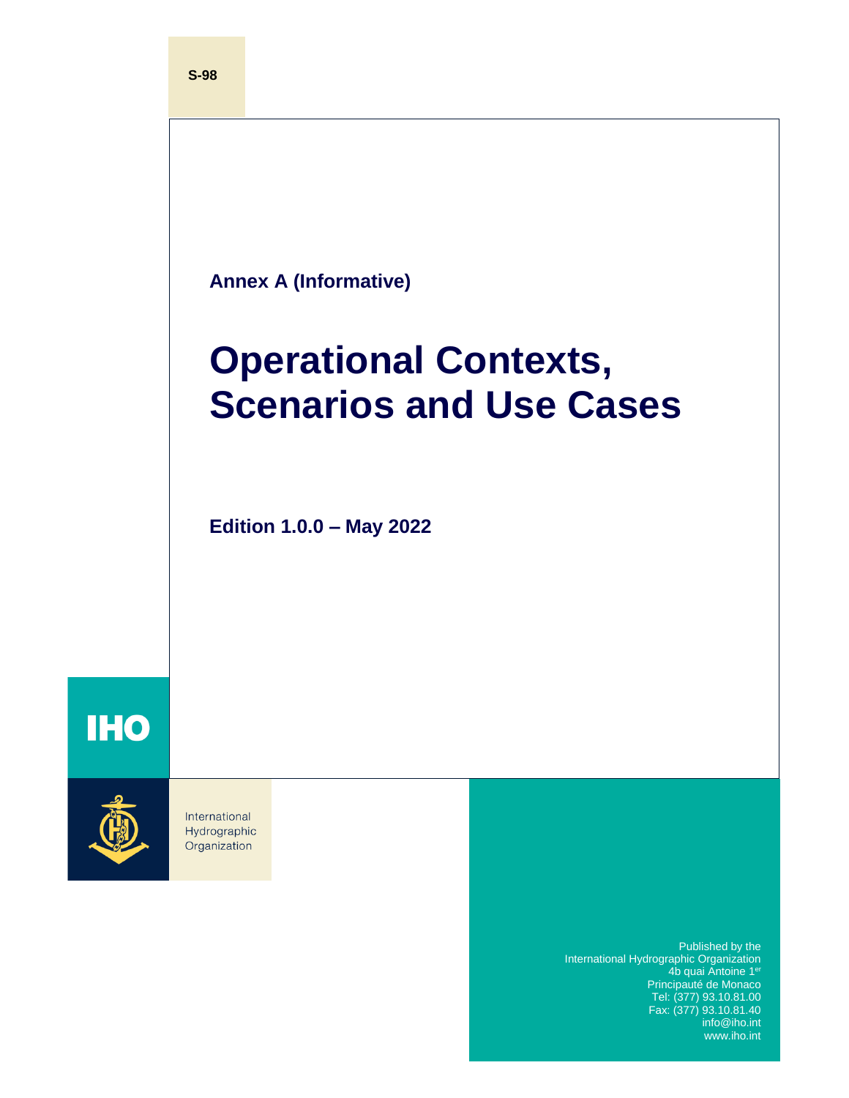





International Hydrographic Organization

> Published by the International Hydrographic Organization 4b quai Antoine 1er Principauté de Monaco Tel: (377) 93.10.81.00 Fax: (377) 93.10.81.40 info@iho.int www.iho.int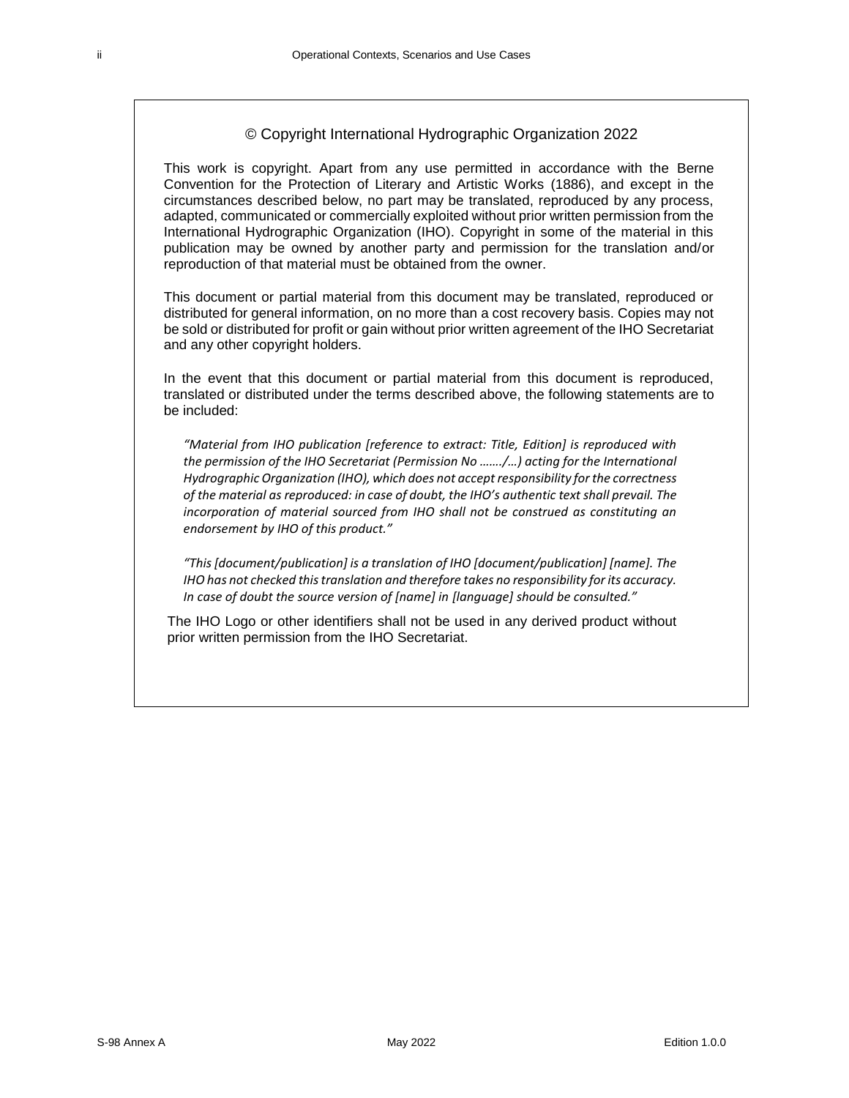### © Copyright International Hydrographic Organization 2022

This work is copyright. Apart from any use permitted in accordance with the [Berne](http://www.wipo.int/treaties/en/ip/berne/trtdocs_wo001.html)  [Convention for the Protection of Literary and Artistic Works](http://www.wipo.int/treaties/en/ip/berne/trtdocs_wo001.html) (1886), and except in the circumstances described below, no part may be translated, reproduced by any process, adapted, communicated or commercially exploited without prior written permission from the International Hydrographic Organization (IHO). Copyright in some of the material in this publication may be owned by another party and permission for the translation and/or reproduction of that material must be obtained from the owner.

This document or partial material from this document may be translated, reproduced or distributed for general information, on no more than a cost recovery basis. Copies may not be sold or distributed for profit or gain without prior written agreement of the IHO Secretariat and any other copyright holders.

In the event that this document or partial material from this document is reproduced, translated or distributed under the terms described above, the following statements are to be included:

*"Material from IHO publication [reference to extract: Title, Edition] is reproduced with the permission of the IHO Secretariat (Permission No ……./…) acting for the International Hydrographic Organization (IHO), which does not accept responsibility for the correctness of the material as reproduced: in case of doubt, the IHO's authentic text shall prevail. The incorporation of material sourced from IHO shall not be construed as constituting an endorsement by IHO of this product."* 

*"This [document/publication] is a translation of IHO [document/publication] [name]. The IHO has not checked this translation and therefore takes no responsibility for its accuracy. In case of doubt the source version of [name] in [language] should be consulted."*

The IHO Logo or other identifiers shall not be used in any derived product without prior written permission from the IHO Secretariat.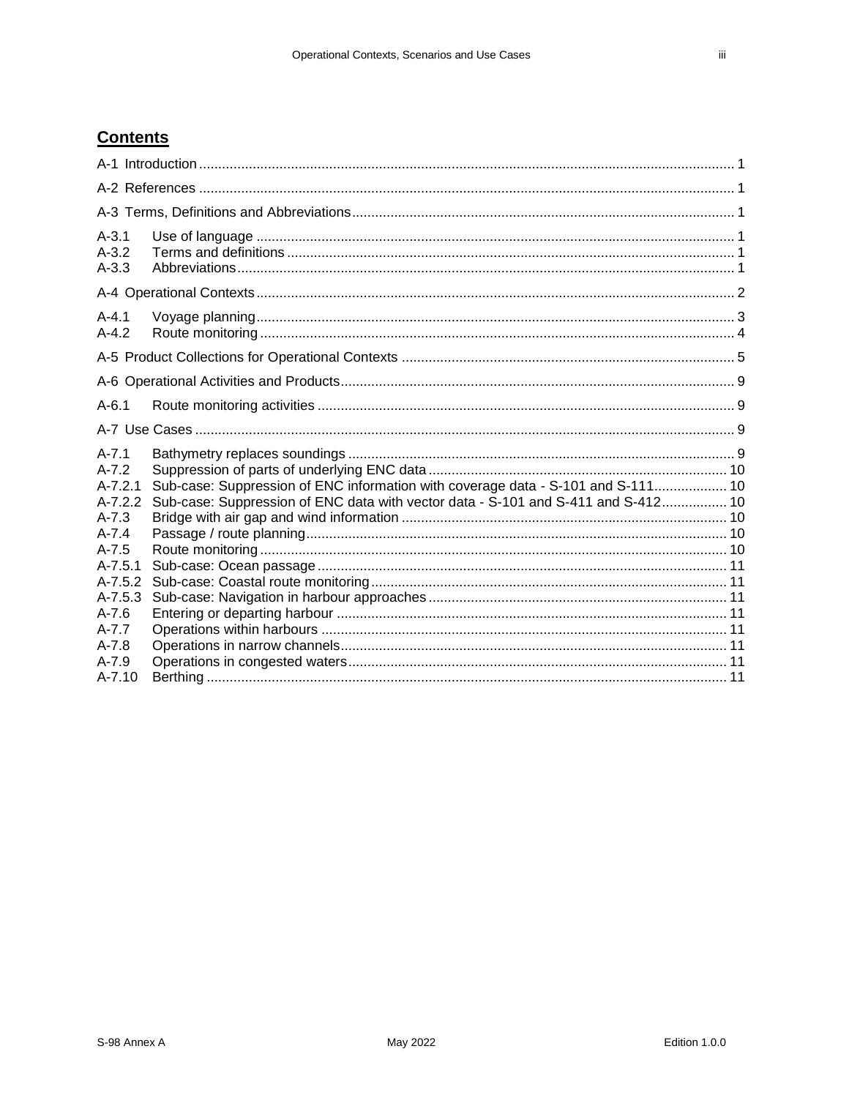| $A - 3.1$<br>$A - 3.2$<br>$A - 3.3$                                                                                                                                |                                                                                                                                                                       |  |
|--------------------------------------------------------------------------------------------------------------------------------------------------------------------|-----------------------------------------------------------------------------------------------------------------------------------------------------------------------|--|
|                                                                                                                                                                    |                                                                                                                                                                       |  |
| $A - 4.1$<br>$A - 4.2$                                                                                                                                             |                                                                                                                                                                       |  |
|                                                                                                                                                                    |                                                                                                                                                                       |  |
|                                                                                                                                                                    |                                                                                                                                                                       |  |
| $A - 6.1$                                                                                                                                                          |                                                                                                                                                                       |  |
|                                                                                                                                                                    |                                                                                                                                                                       |  |
| $A - 7.1$<br>$A - 7.2$<br>$A - 7.2.1$<br>$A - 7.2.2$<br>$A - 7.3$<br>$A - 7.4$<br>$A - 7.5$<br>$A - 7.5.1$<br>$A - 7.5.2$<br>$A - 7.5.3$<br>$A - 7.6$<br>$A - 7.7$ | Sub-case: Suppression of ENC information with coverage data - S-101 and S-111 10<br>Sub-case: Suppression of ENC data with vector data - S-101 and S-411 and S-412 10 |  |
| $A - 7.8$<br>$A - 7.9$<br>$A - 7.10$                                                                                                                               |                                                                                                                                                                       |  |
|                                                                                                                                                                    |                                                                                                                                                                       |  |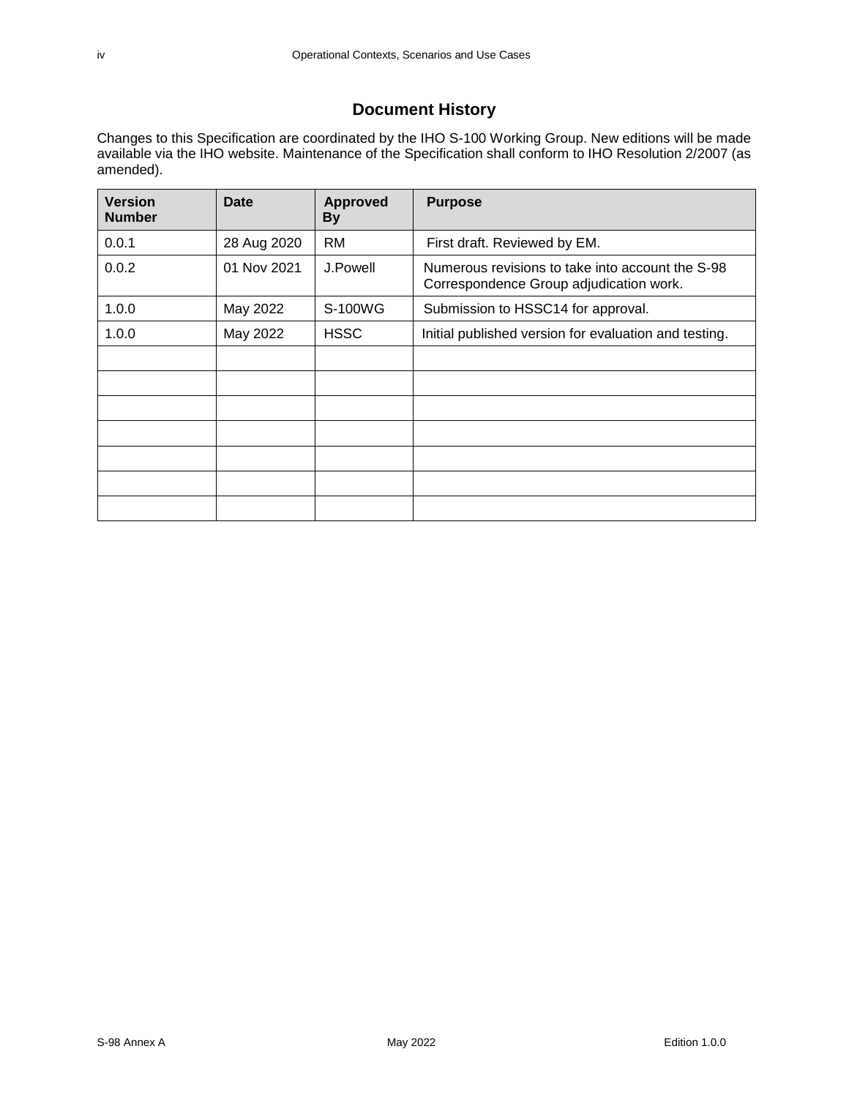# **Document History**

Changes to this Specification are coordinated by the IHO S-100 Working Group. New editions will be made available via the IHO website. Maintenance of the Specification shall conform to IHO Resolution 2/2007 (as amended).

| <b>Version</b><br><b>Number</b> | Date        | <b>Approved</b><br><b>By</b> | <b>Purpose</b>                                                                              |
|---------------------------------|-------------|------------------------------|---------------------------------------------------------------------------------------------|
| 0.0.1                           | 28 Aug 2020 | <b>RM</b>                    | First draft. Reviewed by EM.                                                                |
| 0.0.2                           | 01 Nov 2021 | J.Powell                     | Numerous revisions to take into account the S-98<br>Correspondence Group adjudication work. |
| 1.0.0                           | May 2022    | S-100WG                      | Submission to HSSC14 for approval.                                                          |
| 1.0.0                           | May 2022    | <b>HSSC</b>                  | Initial published version for evaluation and testing.                                       |
|                                 |             |                              |                                                                                             |
|                                 |             |                              |                                                                                             |
|                                 |             |                              |                                                                                             |
|                                 |             |                              |                                                                                             |
|                                 |             |                              |                                                                                             |
|                                 |             |                              |                                                                                             |
|                                 |             |                              |                                                                                             |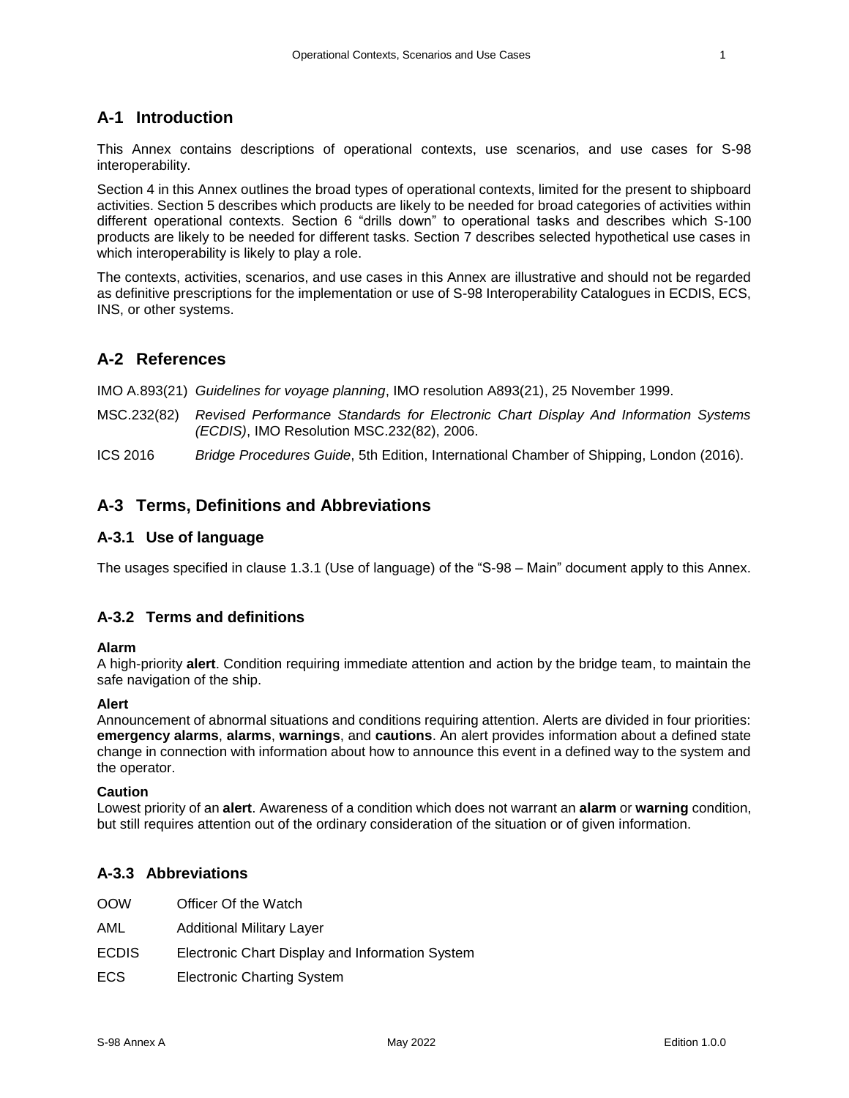# <span id="page-4-0"></span>**A-1 Introduction**

This Annex contains descriptions of operational contexts, use scenarios, and use cases for S-98 interoperability.

Section 4 in this Annex outlines the broad types of operational contexts, limited for the present to shipboard activities. Section 5 describes which products are likely to be needed for broad categories of activities within different operational contexts. Section 6 "drills down" to operational tasks and describes which S-100 products are likely to be needed for different tasks. Section 7 describes selected hypothetical use cases in which interoperability is likely to play a role.

The contexts, activities, scenarios, and use cases in this Annex are illustrative and should not be regarded as definitive prescriptions for the implementation or use of S-98 Interoperability Catalogues in ECDIS, ECS, INS, or other systems.

# <span id="page-4-1"></span>**A-2 References**

IMO A.893(21) *Guidelines for voyage planning*, IMO resolution A893(21), 25 November 1999.

- MSC.232(82) *Revised Performance Standards for Electronic Chart Display And Information Systems (ECDIS)*, IMO Resolution MSC.232(82), 2006.
- ICS 2016 *Bridge Procedures Guide*, 5th Edition, International Chamber of Shipping, London (2016).

# <span id="page-4-2"></span>**A-3 Terms, Definitions and Abbreviations**

### <span id="page-4-3"></span>**A-3.1 Use of language**

The usages specified in clause 1.3.1 (Use of language) of the "S-98 – Main" document apply to this Annex.

# <span id="page-4-4"></span>**A-3.2 Terms and definitions**

#### **Alarm**

A high-priority **alert**. Condition requiring immediate attention and action by the bridge team, to maintain the safe navigation of the ship.

#### **Alert**

Announcement of abnormal situations and conditions requiring attention. Alerts are divided in four priorities: **emergency alarms**, **alarms**, **warnings**, and **cautions**. An alert provides information about a defined state change in connection with information about how to announce this event in a defined way to the system and the operator.

#### **Caution**

Lowest priority of an **alert**. Awareness of a condition which does not warrant an **alarm** or **warning** condition, but still requires attention out of the ordinary consideration of the situation or of given information.

# <span id="page-4-5"></span>**A-3.3 Abbreviations**

OOW Officer Of the Watch

| <u>UUW</u>   | <b>UTTUBLIOUS</b> MONTH                         |
|--------------|-------------------------------------------------|
| AML          | <b>Additional Military Layer</b>                |
| <b>ECDIS</b> | Electronic Chart Display and Information System |

ECS Electronic Charting System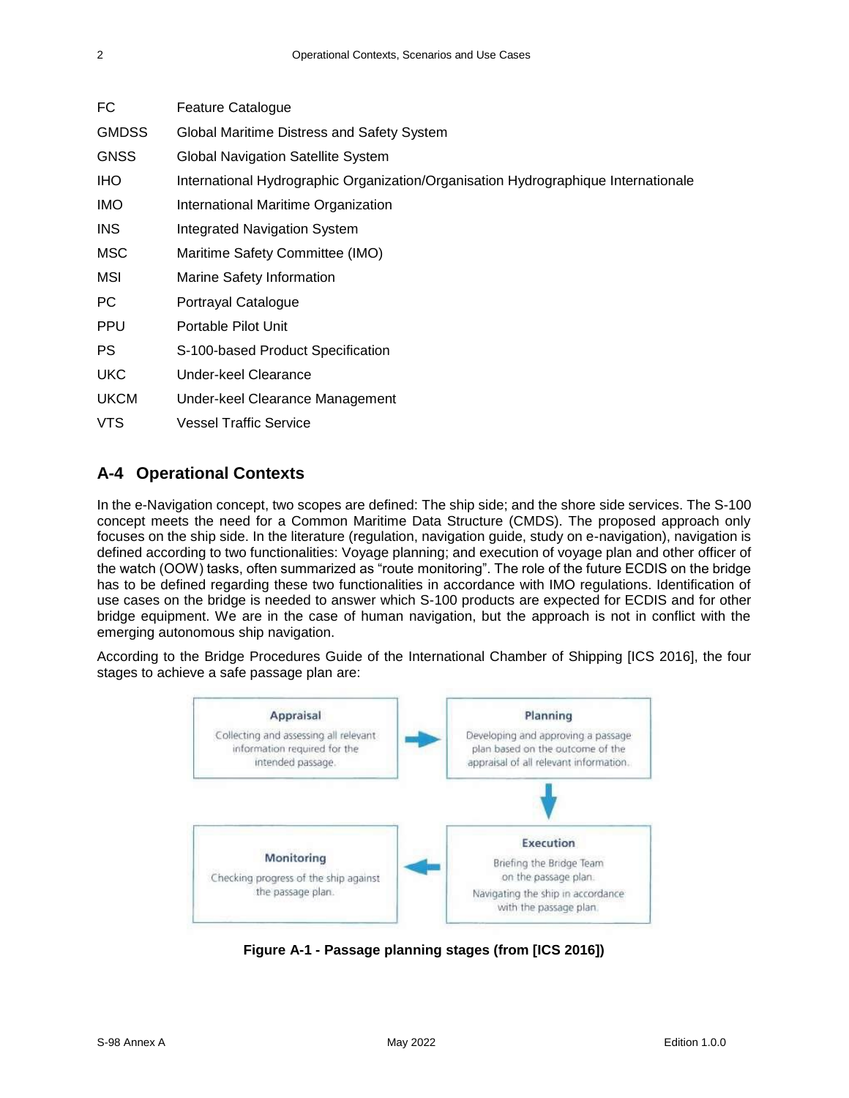| FC           | <b>Feature Catalogue</b>                                                           |
|--------------|------------------------------------------------------------------------------------|
| <b>GMDSS</b> | Global Maritime Distress and Safety System                                         |
| <b>GNSS</b>  | <b>Global Navigation Satellite System</b>                                          |
| <b>IHO</b>   | International Hydrographic Organization/Organisation Hydrographique Internationale |
| IMO.         | International Maritime Organization                                                |
| INS.         | <b>Integrated Navigation System</b>                                                |
| MSC          | Maritime Safety Committee (IMO)                                                    |
| MSI          | Marine Safety Information                                                          |
| PC.          | Portrayal Catalogue                                                                |
| <b>PPU</b>   | Portable Pilot Unit                                                                |
| <b>PS</b>    | S-100-based Product Specification                                                  |
| <b>UKC</b>   | Under-keel Clearance                                                               |
| <b>UKCM</b>  | Under-keel Clearance Management                                                    |
| <b>VTS</b>   | <b>Vessel Traffic Service</b>                                                      |

# <span id="page-5-0"></span>**A-4 Operational Contexts**

In the e-Navigation concept, two scopes are defined: The ship side; and the shore side services. The S-100 concept meets the need for a Common Maritime Data Structure (CMDS). The proposed approach only focuses on the ship side. In the literature (regulation, navigation guide, study on e-navigation), navigation is defined according to two functionalities: Voyage planning; and execution of voyage plan and other officer of the watch (OOW) tasks, often summarized as "route monitoring". The role of the future ECDIS on the bridge has to be defined regarding these two functionalities in accordance with IMO regulations. Identification of use cases on the bridge is needed to answer which S-100 products are expected for ECDIS and for other bridge equipment. We are in the case of human navigation, but the approach is not in conflict with the emerging autonomous ship navigation.

According to the Bridge Procedures Guide of the International Chamber of Shipping [ICS 2016], the four stages to achieve a safe passage plan are:



**Figure A-1 - Passage planning stages (from [ICS 2016])**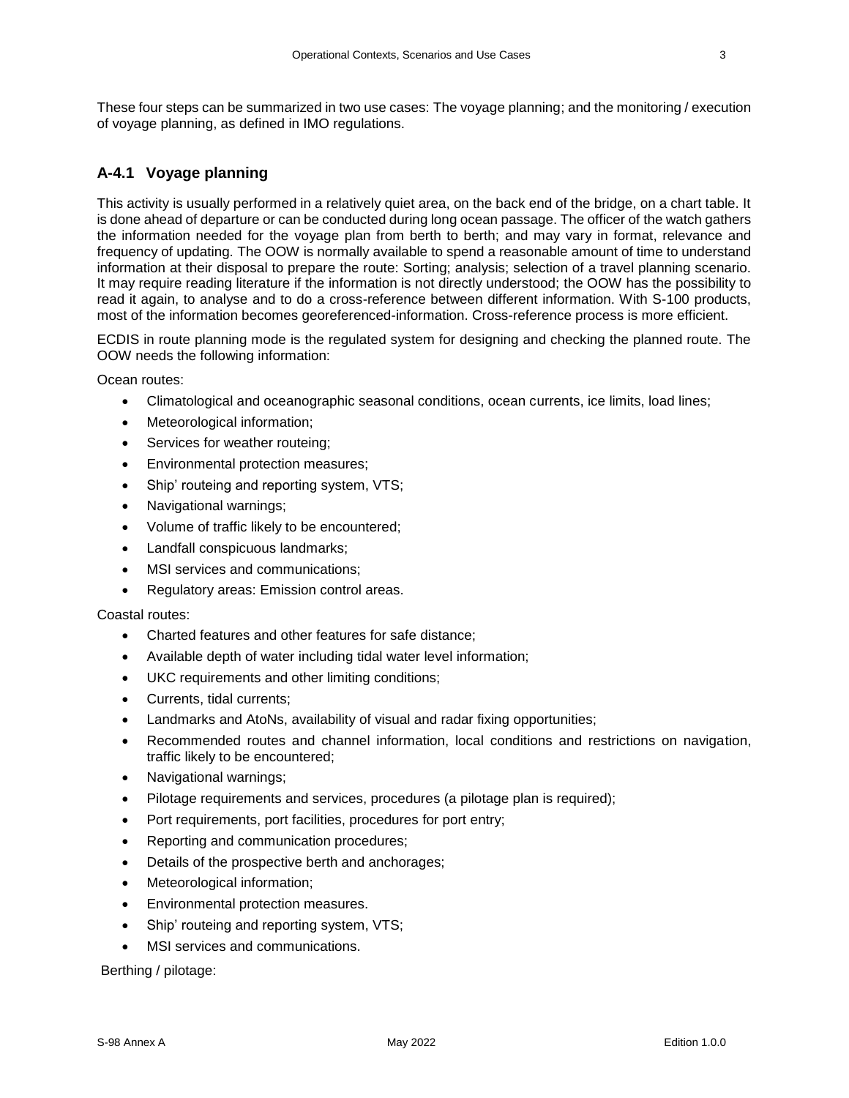These four steps can be summarized in two use cases: The voyage planning; and the monitoring / execution of voyage planning, as defined in IMO regulations.

# <span id="page-6-0"></span>**A-4.1 Voyage planning**

This activity is usually performed in a relatively quiet area, on the back end of the bridge, on a chart table. It is done ahead of departure or can be conducted during long ocean passage. The officer of the watch gathers the information needed for the voyage plan from berth to berth; and may vary in format, relevance and frequency of updating. The OOW is normally available to spend a reasonable amount of time to understand information at their disposal to prepare the route: Sorting; analysis; selection of a travel planning scenario. It may require reading literature if the information is not directly understood; the OOW has the possibility to read it again, to analyse and to do a cross-reference between different information. With S-100 products, most of the information becomes georeferenced-information. Cross-reference process is more efficient.

ECDIS in route planning mode is the regulated system for designing and checking the planned route. The OOW needs the following information:

Ocean routes:

- Climatological and oceanographic seasonal conditions, ocean currents, ice limits, load lines;
- Meteorological information;
- Services for weather routeing;
- Environmental protection measures;
- Ship' routeing and reporting system, VTS;
- Navigational warnings;
- Volume of traffic likely to be encountered;
- Landfall conspicuous landmarks;
- MSI services and communications;
- Regulatory areas: Emission control areas.

#### Coastal routes:

- Charted features and other features for safe distance;
- Available depth of water including tidal water level information;
- UKC requirements and other limiting conditions;
- Currents, tidal currents;
- Landmarks and AtoNs, availability of visual and radar fixing opportunities;
- Recommended routes and channel information, local conditions and restrictions on navigation, traffic likely to be encountered;
- Navigational warnings;
- Pilotage requirements and services, procedures (a pilotage plan is required);
- Port requirements, port facilities, procedures for port entry;
- Reporting and communication procedures;
- Details of the prospective berth and anchorages;
- Meteorological information;
- Environmental protection measures.
- Ship' routeing and reporting system, VTS;
- MSI services and communications.

Berthing / pilotage: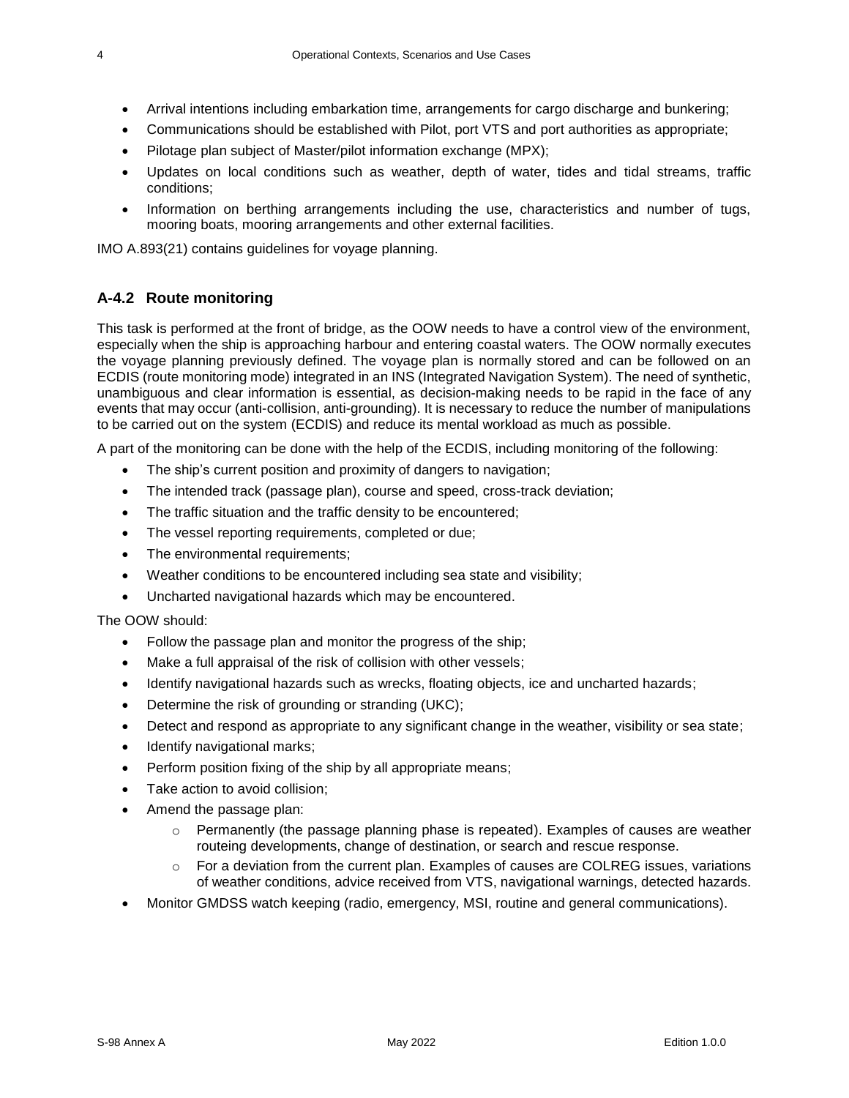- Arrival intentions including embarkation time, arrangements for cargo discharge and bunkering;
- Communications should be established with Pilot, port VTS and port authorities as appropriate;
- Pilotage plan subject of Master/pilot information exchange (MPX);
- Updates on local conditions such as weather, depth of water, tides and tidal streams, traffic conditions;
- Information on berthing arrangements including the use, characteristics and number of tugs, mooring boats, mooring arrangements and other external facilities.

IMO A.893(21) contains guidelines for voyage planning.

# <span id="page-7-0"></span>**A-4.2 Route monitoring**

This task is performed at the front of bridge, as the OOW needs to have a control view of the environment, especially when the ship is approaching harbour and entering coastal waters. The OOW normally executes the voyage planning previously defined. The voyage plan is normally stored and can be followed on an ECDIS (route monitoring mode) integrated in an INS (Integrated Navigation System). The need of synthetic, unambiguous and clear information is essential, as decision-making needs to be rapid in the face of any events that may occur (anti-collision, anti-grounding). It is necessary to reduce the number of manipulations to be carried out on the system (ECDIS) and reduce its mental workload as much as possible.

A part of the monitoring can be done with the help of the ECDIS, including monitoring of the following:

- The ship's current position and proximity of dangers to navigation;
- The intended track (passage plan), course and speed, cross-track deviation;
- The traffic situation and the traffic density to be encountered;
- The vessel reporting requirements, completed or due;
- The environmental requirements;
- Weather conditions to be encountered including sea state and visibility;
- Uncharted navigational hazards which may be encountered.

The OOW should:

- Follow the passage plan and monitor the progress of the ship;
- Make a full appraisal of the risk of collision with other vessels;
- Identify navigational hazards such as wrecks, floating objects, ice and uncharted hazards;
- Determine the risk of grounding or stranding (UKC);
- Detect and respond as appropriate to any significant change in the weather, visibility or sea state;
- Identify navigational marks;
- Perform position fixing of the ship by all appropriate means;
- Take action to avoid collision;
- Amend the passage plan:
	- $\circ$  Permanently (the passage planning phase is repeated). Examples of causes are weather routeing developments, change of destination, or search and rescue response.
	- $\circ$  For a deviation from the current plan. Examples of causes are COLREG issues, variations of weather conditions, advice received from VTS, navigational warnings, detected hazards.
- Monitor GMDSS watch keeping (radio, emergency, MSI, routine and general communications).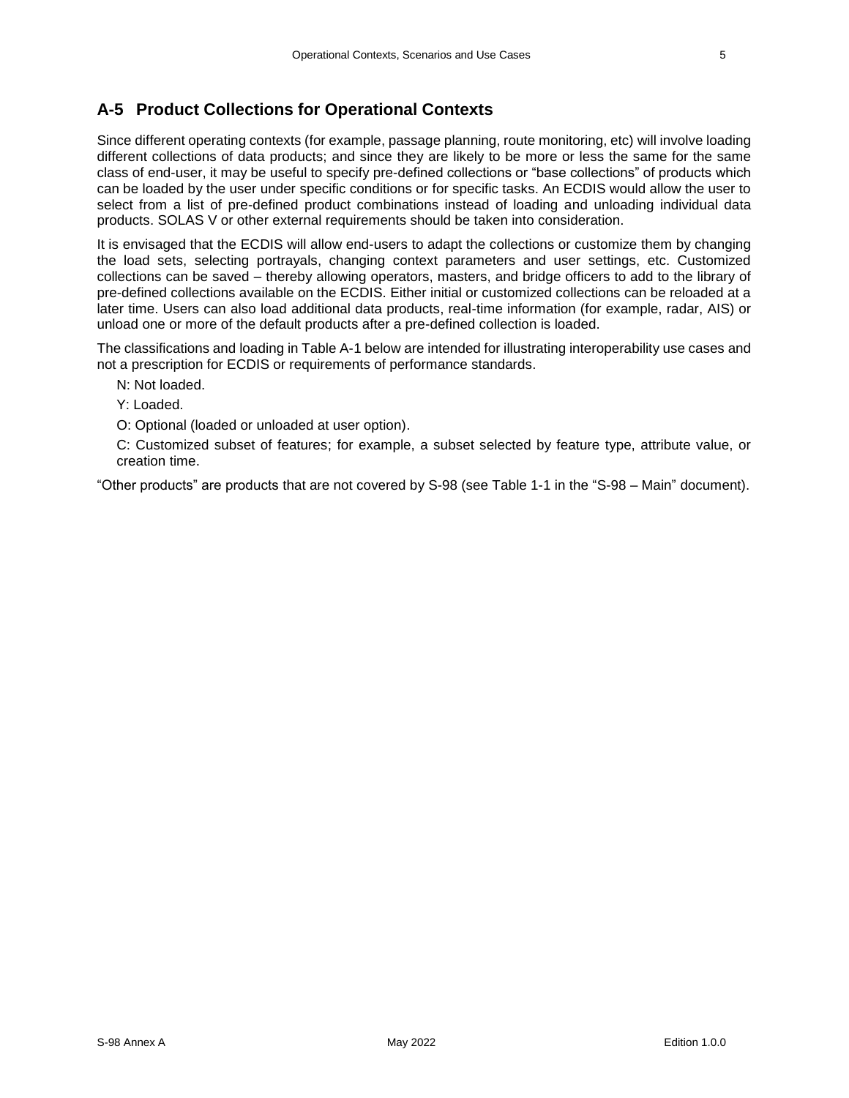<span id="page-8-0"></span>Since different operating contexts (for example, passage planning, route monitoring, etc) will involve loading different collections of data products; and since they are likely to be more or less the same for the same class of end-user, it may be useful to specify pre-defined collections or "base collections" of products which can be loaded by the user under specific conditions or for specific tasks. An ECDIS would allow the user to select from a list of pre-defined product combinations instead of loading and unloading individual data products. SOLAS V or other external requirements should be taken into consideration.

It is envisaged that the ECDIS will allow end-users to adapt the collections or customize them by changing the load sets, selecting portrayals, changing context parameters and user settings, etc. Customized collections can be saved – thereby allowing operators, masters, and bridge officers to add to the library of pre-defined collections available on the ECDIS. Either initial or customized collections can be reloaded at a later time. Users can also load additional data products, real-time information (for example, radar, AIS) or unload one or more of the default products after a pre-defined collection is loaded.

The classifications and loading in Table A-1 below are intended for illustrating interoperability use cases and not a prescription for ECDIS or requirements of performance standards.

- N: Not loaded.
- Y: Loaded.

O: Optional (loaded or unloaded at user option).

C: Customized subset of features; for example, a subset selected by feature type, attribute value, or creation time.

"Other products" are products that are not covered by S-98 (see Table 1-1 in the "S-98 – Main" document).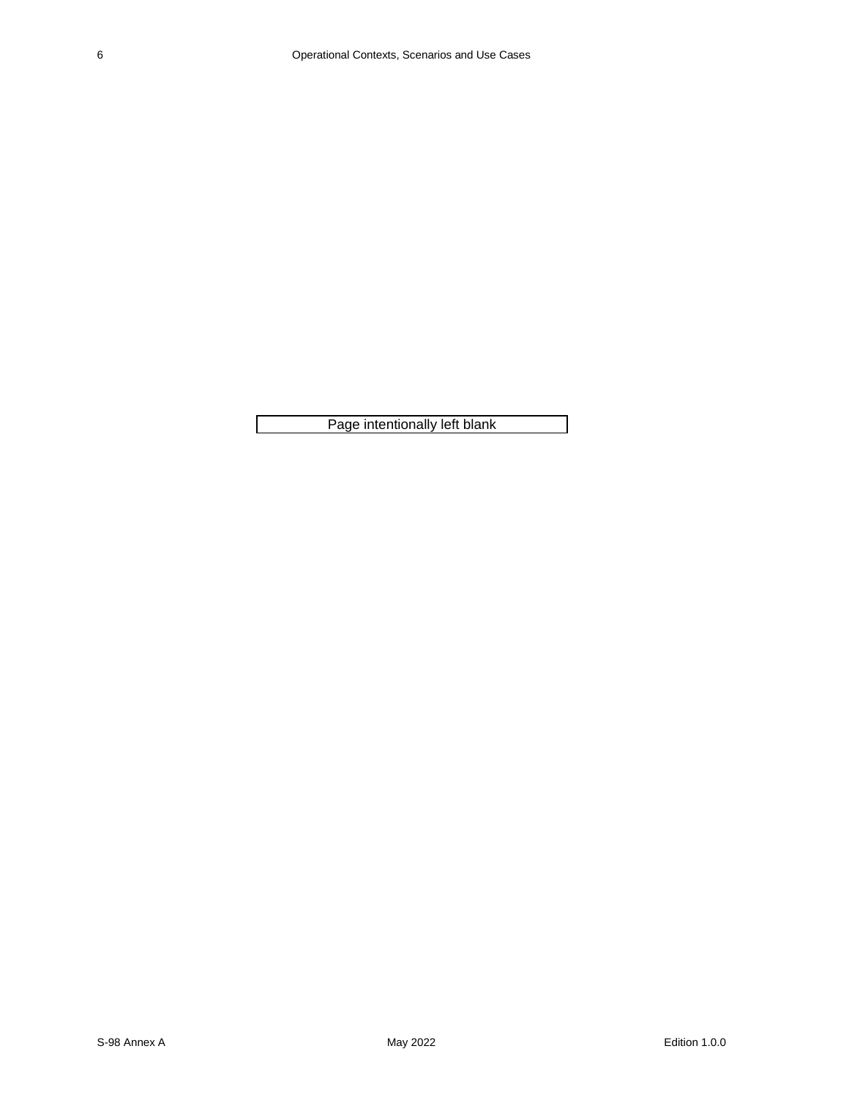Page intentionally left blank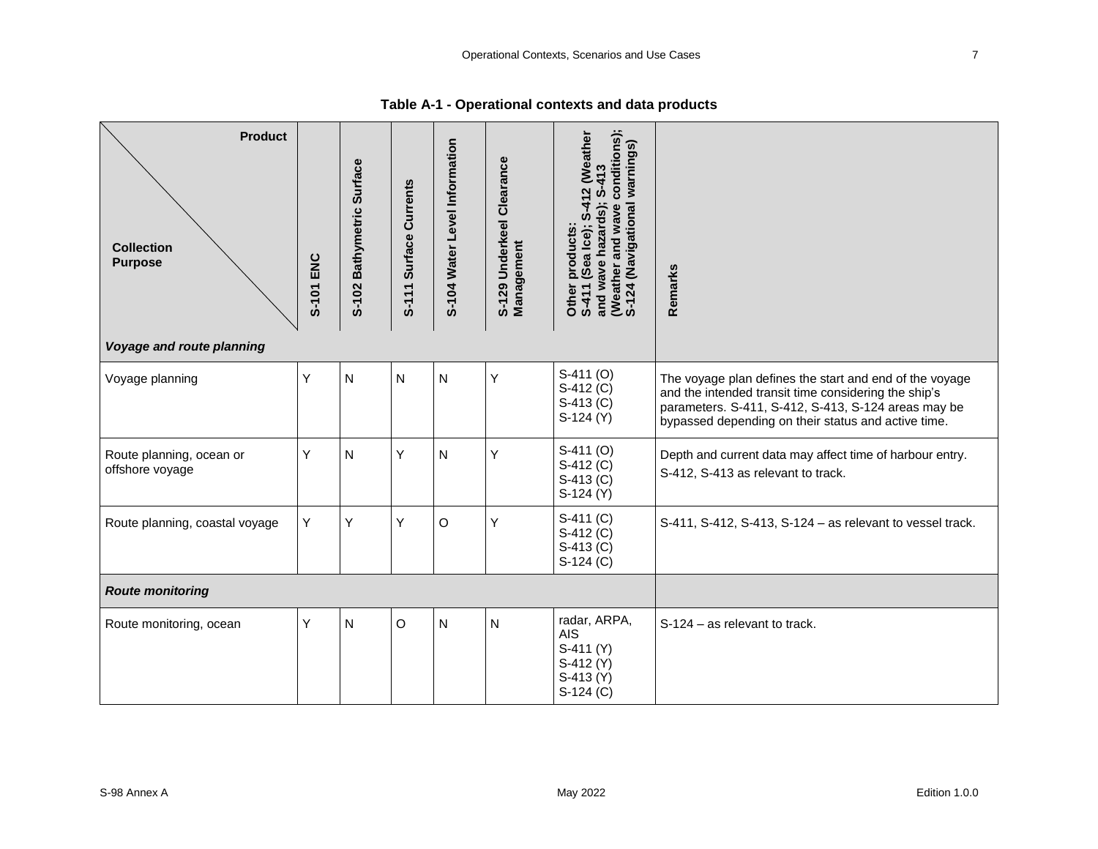**Table A-1 - Operational contexts and data products**

| <b>Product</b><br><b>Collection</b><br><b>Purpose</b> | <b>S-101 ENC</b> | S-102 Bathymetric Surface | S-111 Surface Currents | S-104 Water Level Information | S-129 Underkeel Clearance<br>Management | conditions);<br>Other products:<br>S-411 (Sea Ice); S-412 (Weather<br>and wave hazards); S-413<br>(Weather and wave conditions<br>S-124 (Navigational warnings) | Remarks                                                                                                                                                                                                                       |
|-------------------------------------------------------|------------------|---------------------------|------------------------|-------------------------------|-----------------------------------------|-----------------------------------------------------------------------------------------------------------------------------------------------------------------|-------------------------------------------------------------------------------------------------------------------------------------------------------------------------------------------------------------------------------|
| Voyage and route planning                             |                  |                           |                        |                               |                                         |                                                                                                                                                                 |                                                                                                                                                                                                                               |
| Voyage planning                                       | Y                | N                         | $\mathsf{N}$           | N                             | Y                                       | $S-411(0)$<br>$S-412(C)$<br>$S-413(C)$<br>$S-124(Y)$                                                                                                            | The voyage plan defines the start and end of the voyage<br>and the intended transit time considering the ship's<br>parameters. S-411, S-412, S-413, S-124 areas may be<br>bypassed depending on their status and active time. |
| Route planning, ocean or<br>offshore voyage           | Υ                | N                         | Y                      | N                             | Υ                                       | $S-411(0)$<br>$S-412(C)$<br>$S-413(C)$<br>S-124 (Y)                                                                                                             | Depth and current data may affect time of harbour entry.<br>S-412, S-413 as relevant to track.                                                                                                                                |
| Route planning, coastal voyage                        | Y                | Y                         | Y                      | $\circ$                       | Y                                       | $S-411 (C)$<br>$S-412(C)$<br>$S-413 (C)$<br>$S-124(C)$                                                                                                          | S-411, S-412, S-413, S-124 - as relevant to vessel track.                                                                                                                                                                     |
| <b>Route monitoring</b>                               |                  |                           |                        |                               |                                         |                                                                                                                                                                 |                                                                                                                                                                                                                               |
| Route monitoring, ocean                               | Υ                | N                         | O                      | N                             | $\mathsf{N}$                            | radar, ARPA,<br><b>AIS</b><br>S-411 (Y)<br>S-412 (Y)<br>S-413 (Y)<br>$S-124(C)$                                                                                 | S-124 – as relevant to track.                                                                                                                                                                                                 |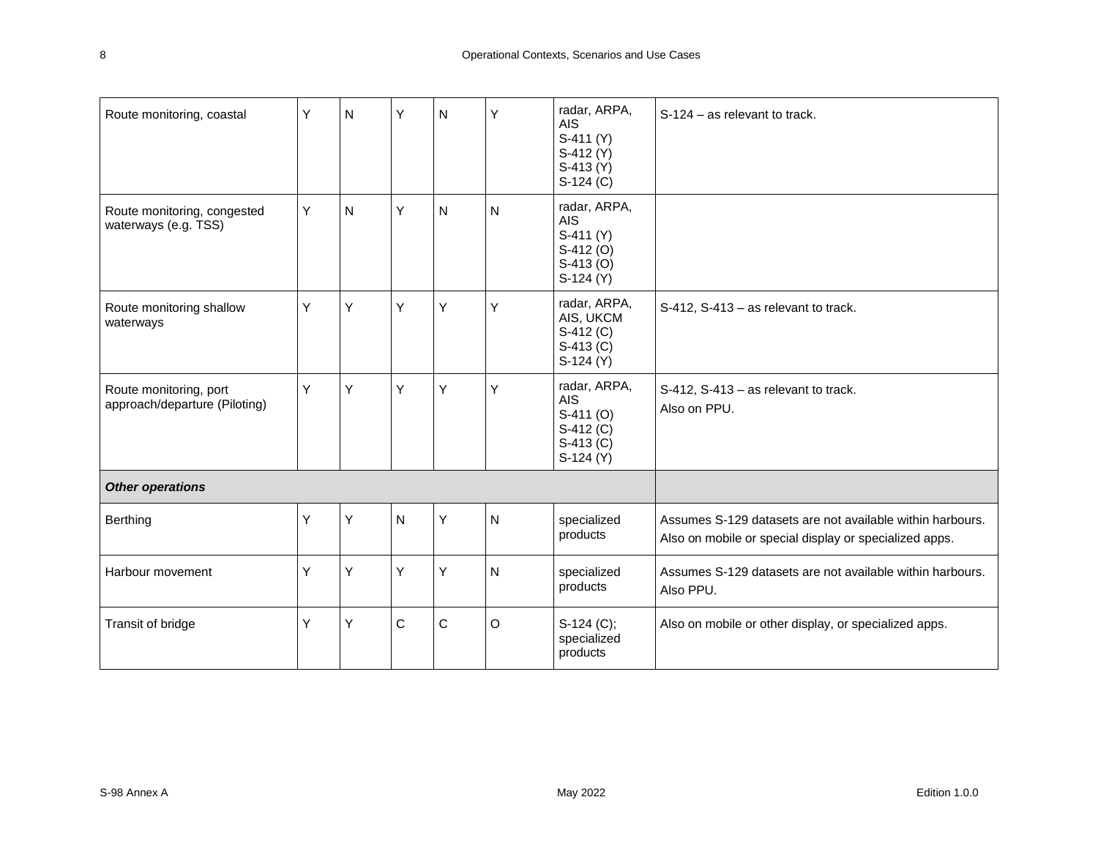| Route monitoring, coastal                               | Y | N            | Y            | $\mathsf{N}$ | Y            | radar, ARPA,<br><b>AIS</b><br>S-411 (Y)<br>S-412 (Y)<br>S-413 (Y)<br>$S-124(C)$   | S-124 – as relevant to track.                                                                                       |
|---------------------------------------------------------|---|--------------|--------------|--------------|--------------|-----------------------------------------------------------------------------------|---------------------------------------------------------------------------------------------------------------------|
| Route monitoring, congested<br>waterways (e.g. TSS)     | Y | $\mathsf{N}$ | Y            | N            | N            | radar, ARPA,<br><b>AIS</b><br>S-411 (Y)<br>$S-412(0)$<br>$S-413(0)$<br>S-124 (Y)  |                                                                                                                     |
| Route monitoring shallow<br>waterways                   | Y | Y            | Y            | Y            | Y            | radar, ARPA,<br>AIS, UKCM<br>$S-412(C)$<br>$S-413 (C)$<br>S-124 (Y)               | S-412, S-413 - as relevant to track.                                                                                |
| Route monitoring, port<br>approach/departure (Piloting) | Y | Y            | Y            | Y            | Y            | radar, ARPA,<br><b>AIS</b><br>$S-411(0)$<br>$S-412(C)$<br>$S-413(C)$<br>S-124 (Y) | S-412, S-413 - as relevant to track.<br>Also on PPU.                                                                |
| <b>Other operations</b>                                 |   |              |              |              |              |                                                                                   |                                                                                                                     |
| Berthing                                                | Y | Y            | $\mathsf{N}$ | Y            | $\mathsf{N}$ | specialized<br>products                                                           | Assumes S-129 datasets are not available within harbours.<br>Also on mobile or special display or specialized apps. |
| Harbour movement                                        | Y | Y            | Y            | Y            | N            | specialized<br>products                                                           | Assumes S-129 datasets are not available within harbours.<br>Also PPU.                                              |
| Transit of bridge                                       | Y | Υ            | C            | C            | $\circ$      | $S-124 (C);$<br>specialized<br>products                                           | Also on mobile or other display, or specialized apps.                                                               |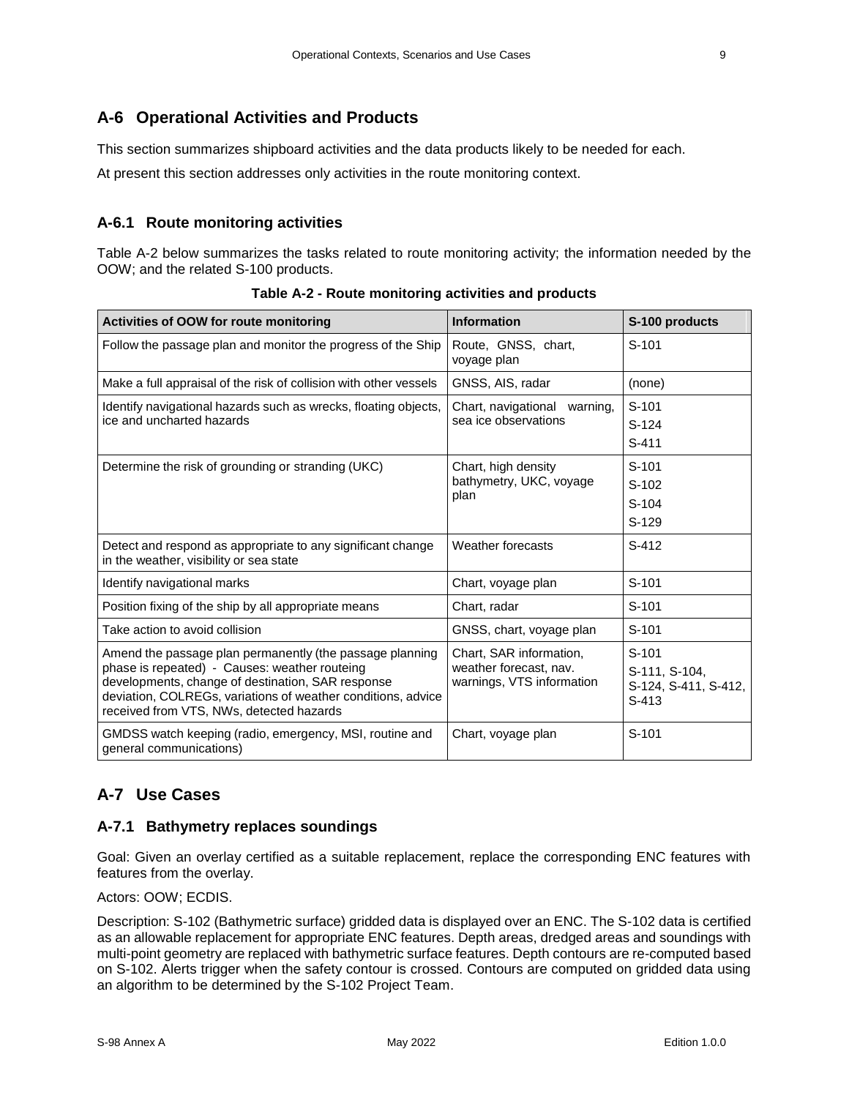# <span id="page-12-0"></span>**A-6 Operational Activities and Products**

This section summarizes shipboard activities and the data products likely to be needed for each.

At present this section addresses only activities in the route monitoring context.

# <span id="page-12-1"></span>**A-6.1 Route monitoring activities**

Table A-2 below summarizes the tasks related to route monitoring activity; the information needed by the OOW; and the related S-100 products.

| Activities of OOW for route monitoring                                                                                                                                                                                                                                     | <b>Information</b>                                                             | S-100 products                                            |
|----------------------------------------------------------------------------------------------------------------------------------------------------------------------------------------------------------------------------------------------------------------------------|--------------------------------------------------------------------------------|-----------------------------------------------------------|
| Follow the passage plan and monitor the progress of the Ship                                                                                                                                                                                                               | Route, GNSS, chart,<br>voyage plan                                             | $S-101$                                                   |
| Make a full appraisal of the risk of collision with other vessels                                                                                                                                                                                                          | GNSS, AIS, radar                                                               | (none)                                                    |
| Identify navigational hazards such as wrecks, floating objects,<br>ice and uncharted hazards                                                                                                                                                                               | Chart, navigational warning,<br>sea ice observations                           | $S-101$<br>$S-124$<br>$S-411$                             |
| Determine the risk of grounding or stranding (UKC)                                                                                                                                                                                                                         | Chart, high density<br>bathymetry, UKC, voyage<br>plan                         | $S-101$<br>S-102<br>$S-104$<br>S-129                      |
| Detect and respond as appropriate to any significant change<br>in the weather, visibility or sea state                                                                                                                                                                     | Weather forecasts                                                              | $S-412$                                                   |
| Identify navigational marks                                                                                                                                                                                                                                                | Chart, voyage plan                                                             | $S-101$                                                   |
| Position fixing of the ship by all appropriate means                                                                                                                                                                                                                       | Chart, radar                                                                   | $S-101$                                                   |
| Take action to avoid collision                                                                                                                                                                                                                                             | GNSS, chart, voyage plan                                                       | $S-101$                                                   |
| Amend the passage plan permanently (the passage planning<br>phase is repeated) - Causes: weather routeing<br>developments, change of destination, SAR response<br>deviation, COLREGs, variations of weather conditions, advice<br>received from VTS, NWs, detected hazards | Chart, SAR information,<br>weather forecast, nav.<br>warnings, VTS information | S-101<br>S-111, S-104,<br>S-124, S-411, S-412,<br>$S-413$ |
| GMDSS watch keeping (radio, emergency, MSI, routine and<br>general communications)                                                                                                                                                                                         | Chart, voyage plan                                                             | $S-101$                                                   |

**Table A-2 - Route monitoring activities and products**

# <span id="page-12-2"></span>**A-7 Use Cases**

# <span id="page-12-3"></span>**A-7.1 Bathymetry replaces soundings**

Goal: Given an overlay certified as a suitable replacement, replace the corresponding ENC features with features from the overlay.

Actors: OOW; ECDIS.

Description: S-102 (Bathymetric surface) gridded data is displayed over an ENC. The S-102 data is certified as an allowable replacement for appropriate ENC features. Depth areas, dredged areas and soundings with multi-point geometry are replaced with bathymetric surface features. Depth contours are re-computed based on S-102. Alerts trigger when the safety contour is crossed. Contours are computed on gridded data using an algorithm to be determined by the S-102 Project Team.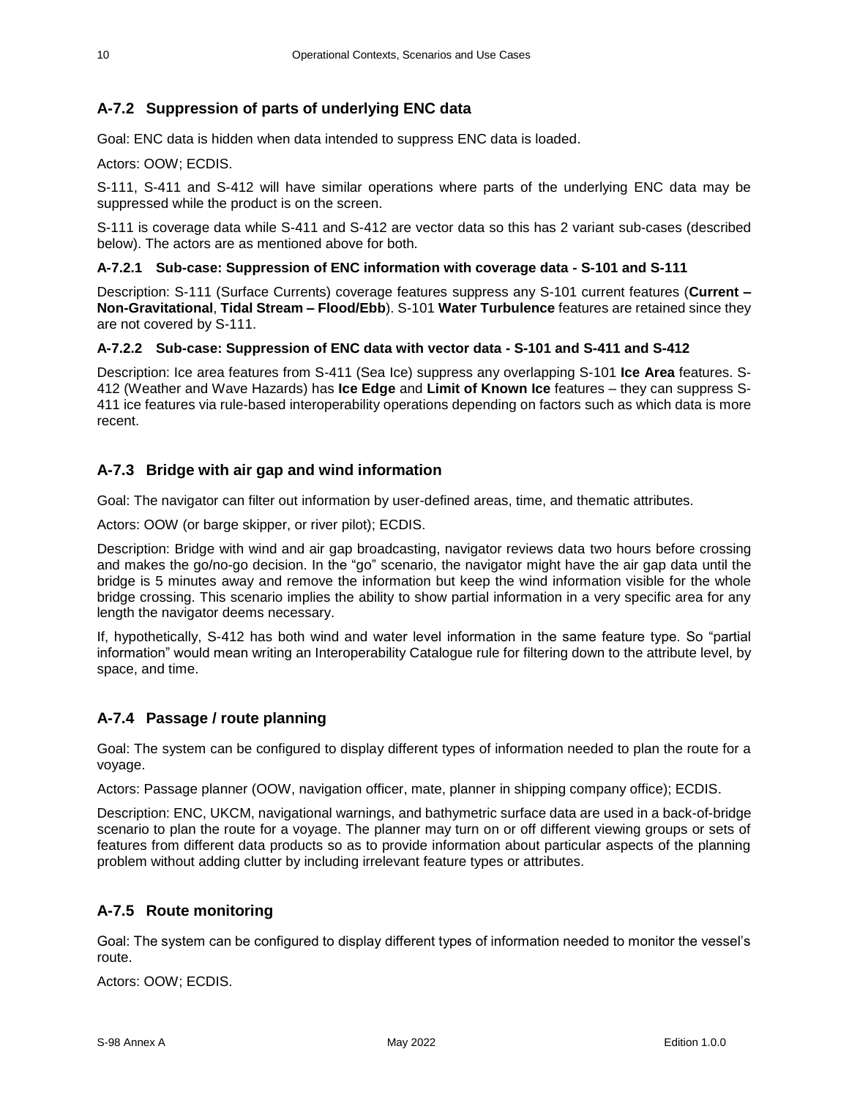# <span id="page-13-0"></span>**A-7.2 Suppression of parts of underlying ENC data**

Goal: ENC data is hidden when data intended to suppress ENC data is loaded.

Actors: OOW; ECDIS.

S-111, S-411 and S-412 will have similar operations where parts of the underlying ENC data may be suppressed while the product is on the screen.

S-111 is coverage data while S-411 and S-412 are vector data so this has 2 variant sub-cases (described below). The actors are as mentioned above for both.

#### <span id="page-13-1"></span>**A-7.2.1 Sub-case: Suppression of ENC information with coverage data - S-101 and S-111**

Description: S-111 (Surface Currents) coverage features suppress any S-101 current features (**Current – Non-Gravitational**, **Tidal Stream – Flood/Ebb**). S-101 **Water Turbulence** features are retained since they are not covered by S-111.

### <span id="page-13-2"></span>**A-7.2.2 Sub-case: Suppression of ENC data with vector data - S-101 and S-411 and S-412**

Description: Ice area features from S-411 (Sea Ice) suppress any overlapping S-101 **Ice Area** features. S-412 (Weather and Wave Hazards) has **Ice Edge** and **Limit of Known Ice** features – they can suppress S-411 ice features via rule-based interoperability operations depending on factors such as which data is more recent.

# <span id="page-13-3"></span>**A-7.3 Bridge with air gap and wind information**

Goal: The navigator can filter out information by user-defined areas, time, and thematic attributes.

Actors: OOW (or barge skipper, or river pilot); ECDIS.

Description: Bridge with wind and air gap broadcasting, navigator reviews data two hours before crossing and makes the go/no-go decision. In the "go" scenario, the navigator might have the air gap data until the bridge is 5 minutes away and remove the information but keep the wind information visible for the whole bridge crossing. This scenario implies the ability to show partial information in a very specific area for any length the navigator deems necessary.

If, hypothetically, S-412 has both wind and water level information in the same feature type. So "partial information" would mean writing an Interoperability Catalogue rule for filtering down to the attribute level, by space, and time.

# <span id="page-13-4"></span>**A-7.4 Passage / route planning**

Goal: The system can be configured to display different types of information needed to plan the route for a voyage.

Actors: Passage planner (OOW, navigation officer, mate, planner in shipping company office); ECDIS.

Description: ENC, UKCM, navigational warnings, and bathymetric surface data are used in a back-of-bridge scenario to plan the route for a voyage. The planner may turn on or off different viewing groups or sets of features from different data products so as to provide information about particular aspects of the planning problem without adding clutter by including irrelevant feature types or attributes.

# <span id="page-13-5"></span>**A-7.5 Route monitoring**

Goal: The system can be configured to display different types of information needed to monitor the vessel's route.

Actors: OOW; ECDIS.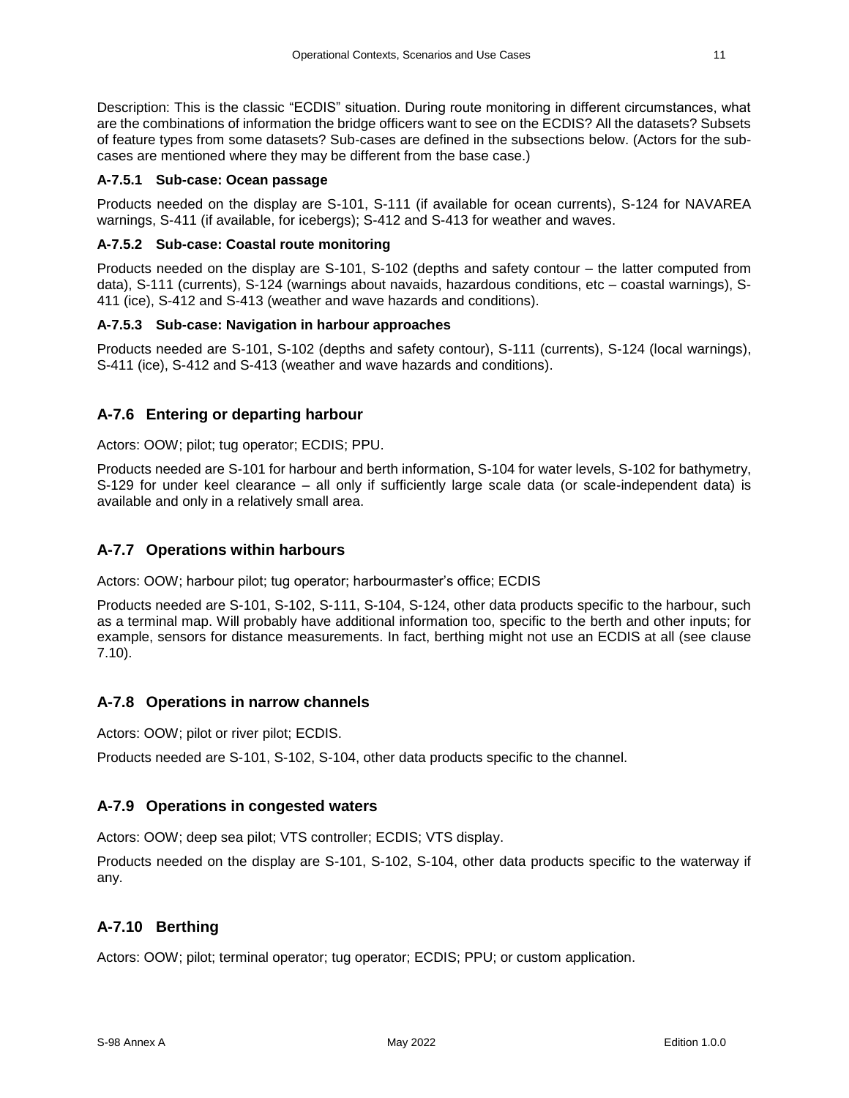Description: This is the classic "ECDIS" situation. During route monitoring in different circumstances, what are the combinations of information the bridge officers want to see on the ECDIS? All the datasets? Subsets of feature types from some datasets? Sub-cases are defined in the subsections below. (Actors for the subcases are mentioned where they may be different from the base case.)

### <span id="page-14-0"></span>**A-7.5.1 Sub-case: Ocean passage**

Products needed on the display are S-101, S-111 (if available for ocean currents), S-124 for NAVAREA warnings, S-411 (if available, for icebergs); S-412 and S-413 for weather and waves.

### <span id="page-14-1"></span>**A-7.5.2 Sub-case: Coastal route monitoring**

Products needed on the display are S-101, S-102 (depths and safety contour – the latter computed from data), S-111 (currents), S-124 (warnings about navaids, hazardous conditions, etc – coastal warnings), S-411 (ice), S-412 and S-413 (weather and wave hazards and conditions).

### <span id="page-14-2"></span>**A-7.5.3 Sub-case: Navigation in harbour approaches**

Products needed are S-101, S-102 (depths and safety contour), S-111 (currents), S-124 (local warnings), S-411 (ice), S-412 and S-413 (weather and wave hazards and conditions).

# <span id="page-14-3"></span>**A-7.6 Entering or departing harbour**

Actors: OOW; pilot; tug operator; ECDIS; PPU.

Products needed are S-101 for harbour and berth information, S-104 for water levels, S-102 for bathymetry, S-129 for under keel clearance – all only if sufficiently large scale data (or scale-independent data) is available and only in a relatively small area.

# <span id="page-14-4"></span>**A-7.7 Operations within harbours**

Actors: OOW; harbour pilot; tug operator; harbourmaster's office; ECDIS

Products needed are S-101, S-102, S-111, S-104, S-124, other data products specific to the harbour, such as a terminal map. Will probably have additional information too, specific to the berth and other inputs; for example, sensors for distance measurements. In fact, berthing might not use an ECDIS at all (see clause 7.10).

#### <span id="page-14-5"></span>**A-7.8 Operations in narrow channels**

Actors: OOW; pilot or river pilot; ECDIS.

Products needed are S-101, S-102, S-104, other data products specific to the channel.

# <span id="page-14-6"></span>**A-7.9 Operations in congested waters**

Actors: OOW; deep sea pilot; VTS controller; ECDIS; VTS display.

Products needed on the display are S-101, S-102, S-104, other data products specific to the waterway if any.

# <span id="page-14-7"></span>**A-7.10 Berthing**

Actors: OOW; pilot; terminal operator; tug operator; ECDIS; PPU; or custom application.